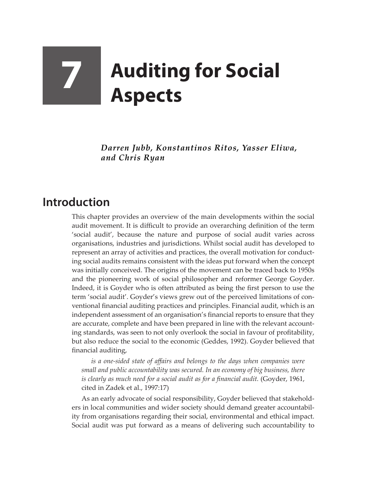## **7 Auditing for Social Aspects**

*Darren Jubb, Konstantinos Ritos, Yasser Eliwa, and Chris Ryan*

## **Introduction**

This chapter provides an overview of the main developments within the social audit movement. It is difficult to provide an overarching definition of the term 'social audit', because the nature and purpose of social audit varies across organisations, industries and jurisdictions. Whilst social audit has developed to represent an array of activities and practices, the overall motivation for conducting social audits remains consistent with the ideas put forward when the concept was initially conceived. The origins of the movement can be traced back to 1950s and the pioneering work of social philosopher and reformer George Goyder. Indeed, it is Goyder who is often attributed as being the first person to use the term 'social audit'. Goyder's views grew out of the perceived limitations of conventional financial auditing practices and principles. Financial audit, which is an independent assessment of an organisation's financial reports to ensure that they are accurate, complete and have been prepared in line with the relevant accounting standards, was seen to not only overlook the social in favour of profitability, but also reduce the social to the economic (Geddes, 1992). Goyder believed that financial auditing,

*is a one-sided state of affairs and belongs to the days when companies were small and public accountability was secured. In an economy of big business, there is clearly as much need for a social audit as for a financial audit.* (Goyder, 1961, cited in Zadek et al., 1997:17)

As an early advocate of social responsibility, Goyder believed that stakeholders in local communities and wider society should demand greater accountability from organisations regarding their social, environmental and ethical impact. Social audit was put forward as a means of delivering such accountability to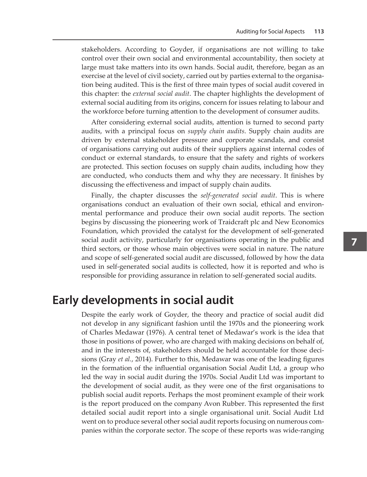stakeholders. According to Goyder, if organisations are not willing to take control over their own social and environmental accountability, then society at large must take matters into its own hands. Social audit, therefore, began as an exercise at the level of civil society, carried out by parties external to the organisation being audited. This is the first of three main types of social audit covered in this chapter: the *external social audit*. The chapter highlights the development of external social auditing from its origins, concern for issues relating to labour and the workforce before turning attention to the development of consumer audits.

After considering external social audits, attention is turned to second party audits, with a principal focus on *supply chain audits*. Supply chain audits are driven by external stakeholder pressure and corporate scandals, and consist of organisations carrying out audits of their suppliers against internal codes of conduct or external standards, to ensure that the safety and rights of workers are protected. This section focuses on supply chain audits, including how they are conducted, who conducts them and why they are necessary. It finishes by discussing the effectiveness and impact of supply chain audits.

Finally, the chapter discusses the *self-generated social audit*. This is where organisations conduct an evaluation of their own social, ethical and environmental performance and produce their own social audit reports. The section begins by discussing the pioneering work of Traidcraft plc and New Economics Foundation, which provided the catalyst for the development of self-generated social audit activity, particularly for organisations operating in the public and third sectors, or those whose main objectives were social in nature. The nature and scope of self-generated social audit are discussed, followed by how the data used in self-generated social audits is collected, how it is reported and who is responsible for providing assurance in relation to self-generated social audits.

## **Early developments in social audit**

Despite the early work of Goyder, the theory and practice of social audit did not develop in any significant fashion until the 1970s and the pioneering work of Charles Medawar (1976). A central tenet of Medawar's work is the idea that those in positions of power, who are charged with making decisions on behalf of, and in the interests of, stakeholders should be held accountable for those decisions (Gray *et al.*, 2014). Further to this, Medawar was one of the leading figures in the formation of the influential organisation Social Audit Ltd, a group who led the way in social audit during the 1970s. Social Audit Ltd was important to the development of social audit, as they were one of the first organisations to publish social audit reports. Perhaps the most prominent example of their work is the report produced on the company Avon Rubber. This represented the first detailed social audit report into a single organisational unit. Social Audit Ltd went on to produce several other social audit reports focusing on numerous companies within the corporate sector. The scope of these reports was wide-ranging